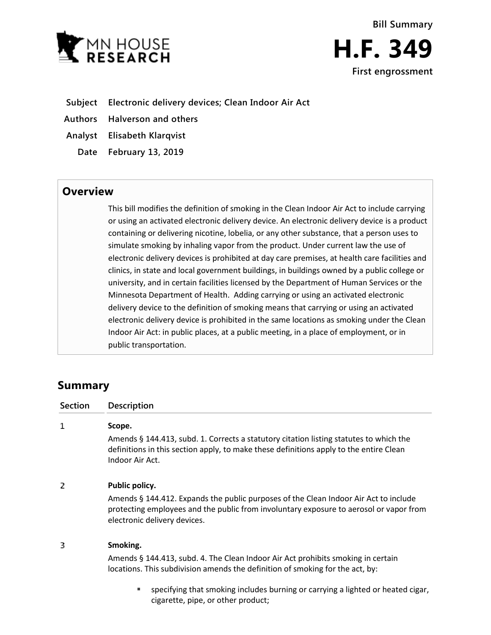

- **Subject Electronic delivery devices; Clean Indoor Air Act**
- **Authors Halverson and others**
- **Analyst Elisabeth Klarqvist**
	- **Date February 13, 2019**

## **Overview**

This bill modifies the definition of smoking in the Clean Indoor Air Act to include carrying or using an activated electronic delivery device. An electronic delivery device is a product containing or delivering nicotine, lobelia, or any other substance, that a person uses to simulate smoking by inhaling vapor from the product. Under current law the use of electronic delivery devices is prohibited at day care premises, at health care facilities and clinics, in state and local government buildings, in buildings owned by a public college or university, and in certain facilities licensed by the Department of Human Services or the Minnesota Department of Health. Adding carrying or using an activated electronic delivery device to the definition of smoking means that carrying or using an activated electronic delivery device is prohibited in the same locations as smoking under the Clean Indoor Air Act: in public places, at a public meeting, in a place of employment, or in public transportation.

# **Summary**

| Section | Description                                                                                                                                                                                                    |
|---------|----------------------------------------------------------------------------------------------------------------------------------------------------------------------------------------------------------------|
| 1       | Scope.                                                                                                                                                                                                         |
|         | Amends § 144.413, subd. 1. Corrects a statutory citation listing statutes to which the<br>definitions in this section apply, to make these definitions apply to the entire Clean<br>Indoor Air Act.            |
| 2       | Public policy.                                                                                                                                                                                                 |
|         | Amends § 144.412. Expands the public purposes of the Clean Indoor Air Act to include<br>protecting employees and the public from involuntary exposure to aerosol or vapor from<br>electronic delivery devices. |
| 3       | Smoking.                                                                                                                                                                                                       |
|         | Amends § 144.413, subd. 4. The Clean Indoor Air Act prohibits smoking in certain<br>locations. This subdivision amends the definition of smoking for the act, by:                                              |
|         | specifying that smoking includes burning or carrying a lighted or heated cigar,<br>п<br>cigarette, pipe, or other product;                                                                                     |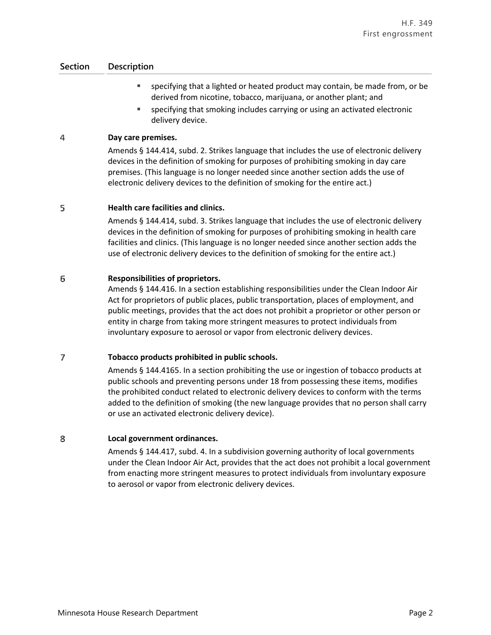### **Section Description**

- specifying that a lighted or heated product may contain, be made from, or be derived from nicotine, tobacco, marijuana, or another plant; and
- specifying that smoking includes carrying or using an activated electronic delivery device.

#### 4 **Day care premises.**

Amends § 144.414, subd. 2. Strikes language that includes the use of electronic delivery devices in the definition of smoking for purposes of prohibiting smoking in day care premises. (This language is no longer needed since another section adds the use of electronic delivery devices to the definition of smoking for the entire act.)

#### 5 **Health care facilities and clinics.**

Amends § 144.414, subd. 3. Strikes language that includes the use of electronic delivery devices in the definition of smoking for purposes of prohibiting smoking in health care facilities and clinics. (This language is no longer needed since another section adds the use of electronic delivery devices to the definition of smoking for the entire act.)

#### 6 **Responsibilities of proprietors.**

Amends § 144.416. In a section establishing responsibilities under the Clean Indoor Air Act for proprietors of public places, public transportation, places of employment, and public meetings, provides that the act does not prohibit a proprietor or other person or entity in charge from taking more stringent measures to protect individuals from involuntary exposure to aerosol or vapor from electronic delivery devices.

#### 7 **Tobacco products prohibited in public schools.**

Amends § 144.4165. In a section prohibiting the use or ingestion of tobacco products at public schools and preventing persons under 18 from possessing these items, modifies the prohibited conduct related to electronic delivery devices to conform with the terms added to the definition of smoking (the new language provides that no person shall carry or use an activated electronic delivery device).

#### 8 **Local government ordinances.**

Amends § 144.417, subd. 4. In a subdivision governing authority of local governments under the Clean Indoor Air Act, provides that the act does not prohibit a local government from enacting more stringent measures to protect individuals from involuntary exposure to aerosol or vapor from electronic delivery devices.